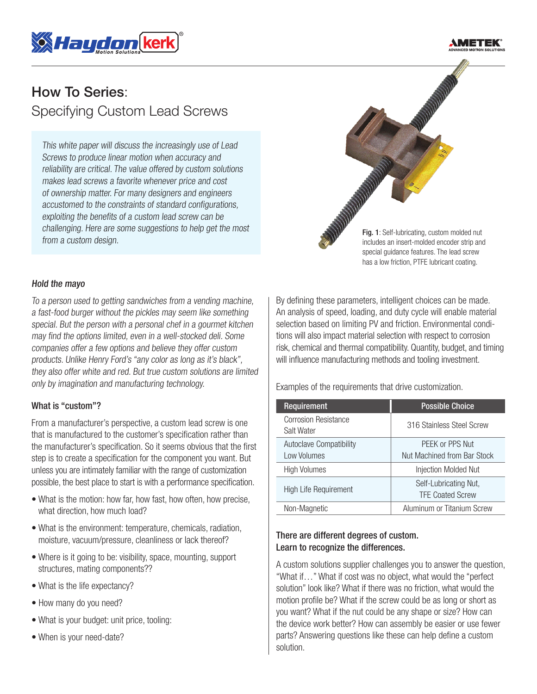



# How To Series: Specifying Custom Lead Screws

This white paper will discuss the increasingly use of Lead Screws to produce linear motion when accuracy and reliability are critical. The value offered by custom solutions makes lead screws a favorite whenever price and cost of ownership matter. For many designers and engineers accustomed to the constraints of standard configurations, exploiting the benefits of a custom lead screw can be challenging. Here are some suggestions to help get the most from a custom design.



#### Hold the mayo

To a person used to getting sandwiches from a vending machine, a fast-food burger without the pickles may seem like something special. But the person with a personal chef in a gourmet kitchen may find the options limited, even in a well-stocked deli. Some companies offer a few options and believe they offer custom products. Unlike Henry Ford's "any color as long as it's black", they also offer white and red. But true custom solutions are limited only by imagination and manufacturing technology.

#### What is "custom"?

From a manufacturer's perspective, a custom lead screw is one that is manufactured to the customer's specification rather than the manufacturer's specification. So it seems obvious that the first step is to create a specification for the component you want. But unless you are intimately familiar with the range of customization possible, the best place to start is with a performance specification.

- What is the motion: how far, how fast, how often, how precise, what direction, how much load?
- What is the environment: temperature, chemicals, radiation, moisture, vacuum/pressure, cleanliness or lack thereof?
- Where is it going to be: visibility, space, mounting, support structures, mating components??
- What is the life expectancy?
- How many do you need?
- What is your budget: unit price, tooling:
- When is your need-date?

By defining these parameters, intelligent choices can be made. An analysis of speed, loading, and duty cycle will enable material selection based on limiting PV and friction. Environmental conditions will also impact material selection with respect to corrosion risk, chemical and thermal compatibility. Quantity, budget, and timing will influence manufacturing methods and tooling investment.

Examples of the requirements that drive customization.

| Requirement                                   | <b>Possible Choice</b>                           |
|-----------------------------------------------|--------------------------------------------------|
| <b>Corrosion Resistance</b><br>Salt Water     | 316 Stainless Steel Screw                        |
| <b>Autoclave Compatibility</b><br>Low Volumes | PEEK or PPS Nut<br>Nut Machined from Bar Stock   |
| <b>High Volumes</b>                           | Injection Molded Nut                             |
| High Life Requirement                         | Self-Lubricating Nut,<br><b>TFE Coated Screw</b> |
| Non-Magnetic                                  | Aluminum or Titanium Screw                       |

## There are different degrees of custom. Learn to recognize the differences.

A custom solutions supplier challenges you to answer the question, "What if…" What if cost was no object, what would the "perfect solution" look like? What if there was no friction, what would the motion profile be? What if the screw could be as long or short as you want? What if the nut could be any shape or size? How can the device work better? How can assembly be easier or use fewer parts? Answering questions like these can help define a custom solution.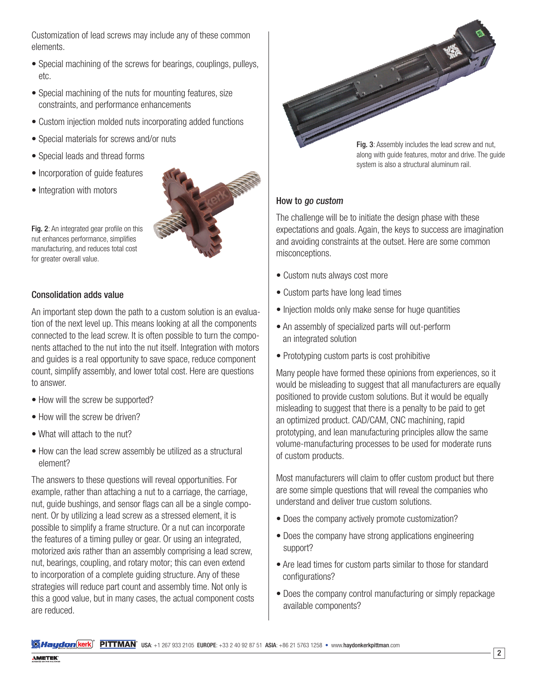Customization of lead screws may include any of these common elements.

- Special machining of the screws for bearings, couplings, pulleys, etc.
- Special machining of the nuts for mounting features, size constraints, and performance enhancements
- Custom injection molded nuts incorporating added functions
- Special materials for screws and/or nuts
- Special leads and thread forms
- Incorporation of guide features
- Integration with motors



Fig. 2: An integrated gear profile on this nut enhances performance, simplifies manufacturing, and reduces total cost for greater overall value.

## Consolidation adds value

An important step down the path to a custom solution is an evaluation of the next level up. This means looking at all the components connected to the lead screw. It is often possible to turn the components attached to the nut into the nut itself. Integration with motors and guides is a real opportunity to save space, reduce component count, simplify assembly, and lower total cost. Here are questions to answer.

- How will the screw be supported?
- How will the screw be driven?
- What will attach to the nut?
- How can the lead screw assembly be utilized as a structural element?

The answers to these questions will reveal opportunities. For example, rather than attaching a nut to a carriage, the carriage, nut, guide bushings, and sensor flags can all be a single component. Or by utilizing a lead screw as a stressed element, it is possible to simplify a frame structure. Or a nut can incorporate the features of a timing pulley or gear. Or using an integrated, motorized axis rather than an assembly comprising a lead screw, nut, bearings, coupling, and rotary motor; this can even extend to incorporation of a complete guiding structure. Any of these strategies will reduce part count and assembly time. Not only is this a good value, but in many cases, the actual component costs are reduced.

Fig. 3: Assembly includes the lead screw and nut, along with guide features, motor and drive. The guide

## How to go custom

The challenge will be to initiate the design phase with these expectations and goals. Again, the keys to success are imagination and avoiding constraints at the outset. Here are some common misconceptions.

system is also a structural aluminum rail.

- Custom nuts always cost more
- Custom parts have long lead times
- Injection molds only make sense for huge quantities
- An assembly of specialized parts will out-perform an integrated solution
- Prototyping custom parts is cost prohibitive

Many people have formed these opinions from experiences, so it would be misleading to suggest that all manufacturers are equally positioned to provide custom solutions. But it would be equally misleading to suggest that there is a penalty to be paid to get an optimized product. CAD/CAM, CNC machining, rapid prototyping, and lean manufacturing principles allow the same volume-manufacturing processes to be used for moderate runs of custom products.

Most manufacturers will claim to offer custom product but there are some simple questions that will reveal the companies who understand and deliver true custom solutions.

- Does the company actively promote customization?
- Does the company have strong applications engineering support?
- Are lead times for custom parts similar to those for standard configurations?
- Does the company control manufacturing or simply repackage available components?

**Walter State: "ENTERT"** USA: +1 267 933 2105 EUROPE: +33 2 40 92 87 51 ASIA: +86 21 5763 1258 • www.haydonkerkpittman.com